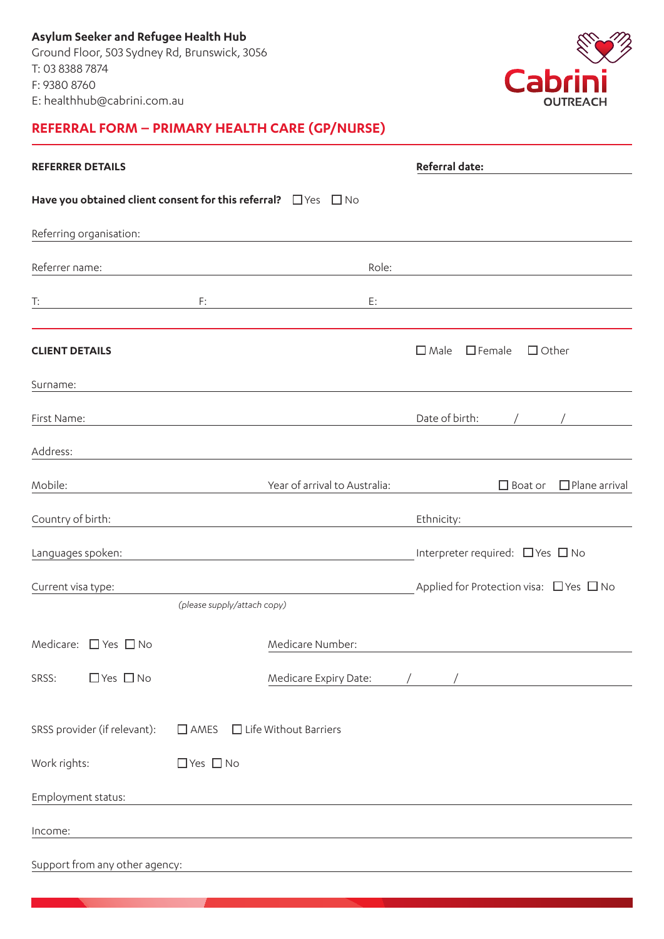

# **REFERRAL FORM – PRIMARY HEALTH CARE (GP/NURSE)**

| <b>REFERRER DETAILS</b>                                                  |                                                                            |                               | Referral date:                                    |
|--------------------------------------------------------------------------|----------------------------------------------------------------------------|-------------------------------|---------------------------------------------------|
| Have you obtained client consent for this referral? $\Box$ Yes $\Box$ No |                                                                            |                               |                                                   |
| Referring organisation:                                                  |                                                                            |                               |                                                   |
| Referrer name:                                                           | the control of the control of the control of the control of the control of | Role:                         |                                                   |
| T:<br><u> 1980 - Johann Barbara, martxa a</u>                            | F:                                                                         | E:                            |                                                   |
| <b>CLIENT DETAILS</b>                                                    |                                                                            |                               | $\square$ Male<br>$\Box$ Female<br>$\Box$ Other   |
| Surname:<br>First Name:                                                  |                                                                            |                               | Date of birth:                                    |
| Address:                                                                 |                                                                            |                               |                                                   |
| Mobile:                                                                  |                                                                            | Year of arrival to Australia: | $\Box$ Plane arrival<br>$\Box$ Boat or            |
| Country of birth:                                                        |                                                                            |                               | Ethnicity:                                        |
| Languages spoken:                                                        |                                                                            |                               | Interpreter required: $\Box$ Yes $\Box$ No        |
| Current visa type:                                                       |                                                                            |                               | Applied for Protection visa: $\Box$ Yes $\Box$ No |
|                                                                          | (please supply/attach copy)                                                |                               |                                                   |
| Medicare: $\Box$ Yes $\Box$ No                                           |                                                                            | Medicare Number:              |                                                   |
| $\Box$ Yes $\Box$ No<br>SRSS:                                            |                                                                            | Medicare Expiry Date:         |                                                   |
| SRSS provider (if relevant):                                             | $\Box$ AMES $\Box$ Life Without Barriers                                   |                               |                                                   |
| Work rights:                                                             | □Yes □ No                                                                  |                               |                                                   |
| Employment status:                                                       |                                                                            |                               |                                                   |
| Income:                                                                  |                                                                            |                               |                                                   |
| Support from any other agency:                                           |                                                                            |                               |                                                   |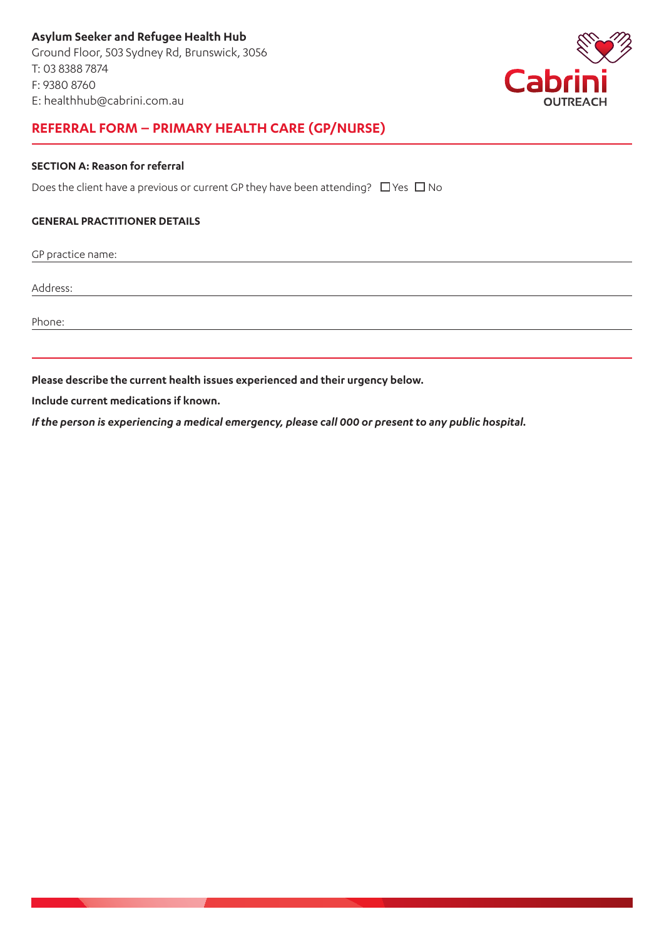

## **REFERRAL FORM – PRIMARY HEALTH CARE (GP/NURSE)**

#### **SECTION A: Reason for referral**

Does the client have a previous or current GP they have been attending?  $\Box$  Yes  $\Box$  No

#### **GENERAL PRACTITIONER DETAILS**

GP practice name:

Address:

Phone:

**Please describe the current health issues experienced and their urgency below.** 

**Include current medications if known.**

*If the person is experiencing a medical emergency, please call 000 or present to any public hospital.*